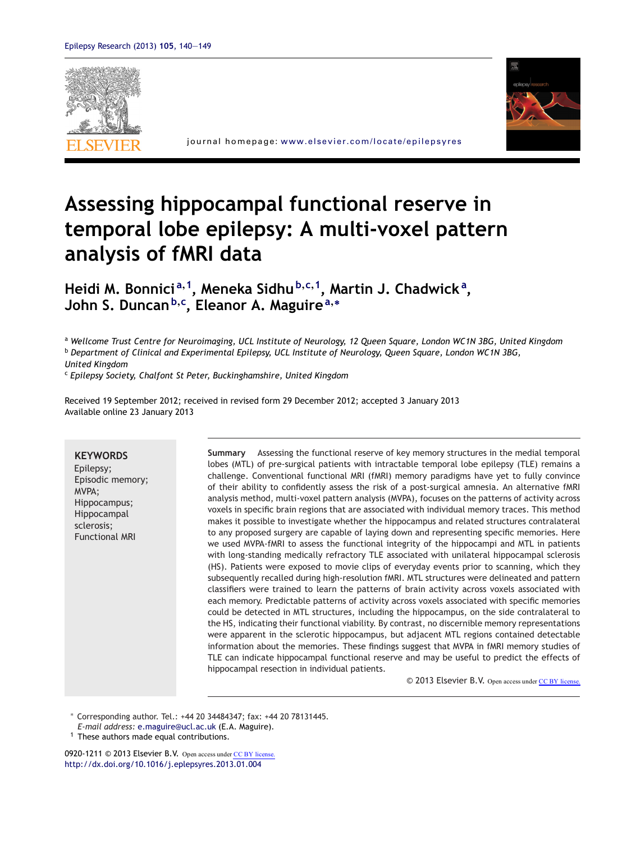



journal homepage: <www.elsevier.com/locate/epilepsyres>

# **Assessing hippocampal functional reserve in temporal lobe epilepsy: A multi-voxel pattern analysis of fMRI data**

**Heidi M. Bonnici <sup>a</sup>,1, Meneka Sidhu<sup>b</sup>,c,1, Martin J. Chadwick<sup>a</sup> , John S. Duncan<sup>b</sup>,<sup>c</sup> , Eleanor A. Maguire<sup>a</sup>,<sup>∗</sup>**

a Wellcome Trust Centre for Neuroimaging, UCL Institute of Neurology, 12 Queen Square, London WC1N 3BG, United Kingdom <sup>b</sup> *Department of Clinical and Experimental Epilepsy, UCL Institute of Neurology, Queen Square, London WC1N 3BG, United Kingdom*

<sup>c</sup> *Epilepsy Society, Chalfont St Peter, Buckinghamshire, United Kingdom*

Received 19 September 2012; received in revised form 29 December 2012; accepted 3 January 2013 Available online 23 January 2013

**KEYWORDS** Epilepsy; Episodic memory; MVPA; Hippocampus; Hippocampal sclerosis;

Functional MRI

**Summary** Assessing the functional reserve of key memory structures in the medial temporal lobes (MTL) of pre-surgical patients with intractable temporal lobe epilepsy (TLE) remains a challenge. Conventional functional MRI (fMRI) memory paradigms have yet to fully convince of their ability to confidently assess the risk of a post-surgical amnesia. An alternative fMRI analysis method, multi-voxel pattern analysis (MVPA), focuses on the patterns of activity across voxels in specific brain regions that are associated with individual memory traces. This method makes it possible to investigate whether the hippocampus and related structures contralateral to any proposed surgery are capable of laying down and representing specific memories. Here we used MVPA-fMRI to assess the functional integrity of the hippocampi and MTL in patients with long-standing medically refractory TLE associated with unilateral hippocampal sclerosis (HS). Patients were exposed to movie clips of everyday events prior to scanning, which they subsequently recalled during high-resolution fMRI. MTL structures were delineated and pattern classifiers were trained to learn the patterns of brain activity across voxels associated with each memory. Predictable patterns of activity across voxels associated with specific memories could be detected in MTL structures, including the hippocampus, on the side contralateral to the HS, indicating their functional viability. By contrast, no discernible memory representations were apparent in the sclerotic hippocampus, but adjacent MTL regions contained detectable information about the memories. These findings suggest that MVPA in fMRI memory studies of TLE can indicate hippocampal functional reserve and may be useful to predict the effects of hippocampal resection in individual patients.

© 2013 Elsevier B.V. Open access under [CC BY license.](http://creativecommons.org/licenses/by/3.0/)

∗ Corresponding author. Tel.: +44 20 34484347; fax: +44 20 78131445.

0920-1211 © 2013 Elsevier B.V. Open access under [CC BY license.](http://creativecommons.org/licenses/by/3.0/) [http://dx.doi.org/10.1016/j.eplepsyres.2013.01.004](dx.doi.org/10.1016/j.eplepsyres.2013.01.004)

*E-mail address:* [e.maguire@ucl.ac.uk](mailto:e.maguire@ucl.ac.uk) (E.A. Maguire).

 $1$  These authors made equal contributions.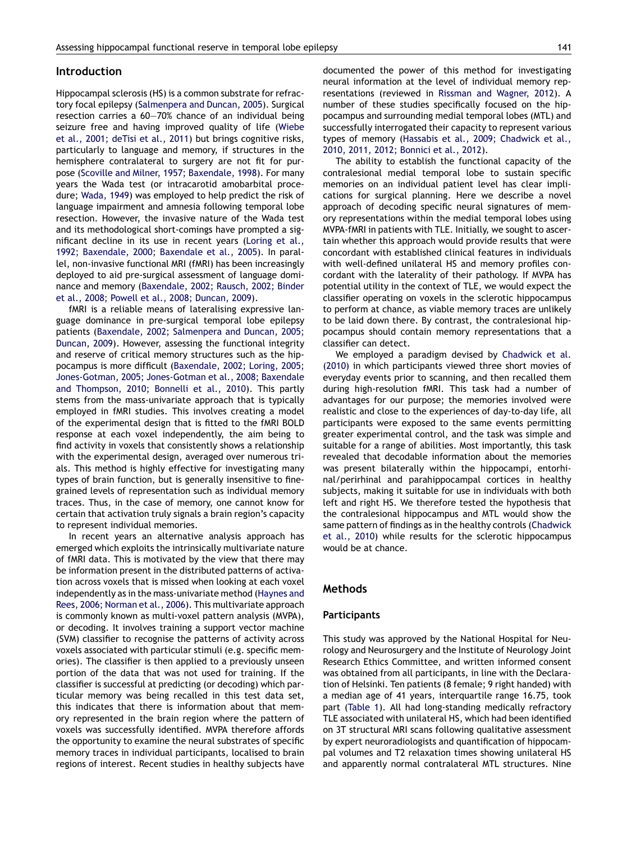## **Introduction**

Hippocampal sclerosis (HS) is a common substrate for refractory focal epilepsy ([Salmenpera](#page-9-0) [and](#page-9-0) [Duncan,](#page-9-0) [2005\).](#page-9-0) Surgical resection carries a 60—70% chance of an individual being seizure free and having improved quality of life ([Wiebe](#page-9-0) et [al.,](#page-9-0) [2001;](#page-9-0) [deTisi](#page-9-0) et [al.,](#page-9-0) [2011\)](#page-9-0) but brings cognitive risks, particularly to language and memory, if structures in the hemisphere contralateral to surgery are not fit for purpose [\(Scoville](#page-9-0) [and](#page-9-0) [Milner,](#page-9-0) [1957;](#page-9-0) [Baxendale,](#page-9-0) [1998\).](#page-9-0) For many years the Wada test (or intracarotid amobarbital procedure; [Wada,](#page-9-0) [1949\)](#page-9-0) was employed to help predict the risk of language impairment and amnesia following temporal lobe resection. However, the invasive nature of the Wada test and its methodological short-comings have prompted a significant decline in its use in recent years ([Loring](#page-9-0) et [al.,](#page-9-0) [1992;](#page-9-0) [Baxendale,](#page-9-0) [2000;](#page-9-0) [Baxendale](#page-9-0) et [al.,](#page-9-0) [2005\).](#page-9-0) In parallel, non-invasive functional MRI (fMRI) has been increasingly deployed to aid pre-surgical assessment of language dominance and memory ([Baxendale,](#page-8-0) [2002;](#page-8-0) [Rausch,](#page-8-0) [2002;](#page-8-0) [Binder](#page-8-0) et [al.,](#page-8-0) [2008;](#page-8-0) [Powell](#page-8-0) et [al.,](#page-8-0) [2008;](#page-8-0) [Duncan,](#page-8-0) [2009\).](#page-8-0)

fMRI is a reliable means of lateralising expressive language dominance in pre-surgical temporal lobe epilepsy patients ([Baxendale,](#page-8-0) [2002;](#page-8-0) [Salmenpera](#page-8-0) [and](#page-8-0) [Duncan,](#page-8-0) [2005;](#page-8-0) [Duncan,](#page-8-0) [2009\).](#page-8-0) However, assessing the functional integrity and reserve of critical memory structures such as the hippocampus is more difficult ([Baxendale,](#page-8-0) [2002;](#page-8-0) [Loring,](#page-8-0) [2005;](#page-8-0) [Jones-Gotman,](#page-8-0) [2005;](#page-8-0) [Jones-Gotman](#page-8-0) et [al.,](#page-8-0) [2008;](#page-8-0) [Baxendale](#page-8-0) [and](#page-8-0) [Thompson,](#page-8-0) [2010;](#page-8-0) [Bonnelli](#page-8-0) et [al.,](#page-8-0) [2010\).](#page-8-0) This partly stems from the mass-univariate approach that is typically employed in fMRI studies. This involves creating a model of the experimental design that is fitted to the fMRI BOLD response at each voxel independently, the aim being to find activity in voxels that consistently shows a relationship with the experimental design, averaged over numerous trials. This method is highly effective for investigating many types of brain function, but is generally insensitive to finegrained levels of representation such as individual memory traces. Thus, in the case of memory, one cannot know for certain that activation truly signals a brain region's capacity to represent individual memories.

In recent years an alternative analysis approach has emerged which exploits the intrinsically multivariate nature of fMRI data. This is motivated by the view that there may be information present in the distributed patterns of activation across voxels that is missed when looking at each voxel independently as in the mass-univariate method ([Haynes](#page-9-0) [and](#page-9-0) [Rees,](#page-9-0) [2006;](#page-9-0) [Norman](#page-9-0) et [al.,](#page-9-0) [2006\).](#page-9-0) This multivariate approach is commonly known as multi-voxel pattern analysis (MVPA), or decoding. It involves training a support vector machine (SVM) classifier to recognise the patterns of activity across voxels associated with particular stimuli (e.g. specific memories). The classifier is then applied to a previously unseen portion of the data that was not used for training. If the classifier is successful at predicting (or decoding) which particular memory was being recalled in this test data set, this indicates that there is information about that memory represented in the brain region where the pattern of voxels was successfully identified. MVPA therefore affords the opportunity to examine the neural substrates of specific memory traces in individual participants, localised to brain regions of interest. Recent studies in healthy subjects have documented the power of this method for investigating

neural information at the level of individual memory representations (reviewed in [Rissman](#page-9-0) [and](#page-9-0) [Wagner,](#page-9-0) [2012\).](#page-9-0) A number of these studies specifically focused on the hippocampus and surrounding medial temporal lobes (MTL) and successfully interrogated their capacity to represent various types of memory ([Hassabis](#page-9-0) et [al.,](#page-9-0) [2009;](#page-9-0) [Chadwick](#page-9-0) et [al.,](#page-9-0) [2010,](#page-9-0) [2011,](#page-9-0) [2012;](#page-9-0) [Bonnici](#page-9-0) et [al.,](#page-9-0) [2012\).](#page-9-0)

The ability to establish the functional capacity of the contralesional medial temporal lobe to sustain specific memories on an individual patient level has clear implications for surgical planning. Here we describe a novel approach of decoding specific neural signatures of memory representations within the medial temporal lobes using MVPA-fMRI in patients with TLE. Initially, we sought to ascertain whether this approach would provide results that were concordant with established clinical features in individuals with well-defined unilateral HS and memory profiles concordant with the laterality of their pathology. If MVPA has potential utility in the context of TLE, we would expect the classifier operating on voxels in the sclerotic hippocampus to perform at chance, as viable memory traces are unlikely to be laid down there. By contrast, the contralesional hippocampus should contain memory representations that a classifier can detect.

We employed a paradigm devised by [Chadwick](#page-8-0) et [al.](#page-8-0) [\(2010\)](#page-8-0) in which participants viewed three short movies of everyday events prior to scanning, and then recalled them during high-resolution fMRI. This task had a number of advantages for our purpose; the memories involved were realistic and close to the experiences of day-to-day life, all participants were exposed to the same events permitting greater experimental control, and the task was simple and suitable for a range of abilities. Most importantly, this task revealed that decodable information about the memories was present bilaterally within the hippocampi, entorhinal/perirhinal and parahippocampal cortices in healthy subjects, making it suitable for use in individuals with both left and right HS. We therefore tested the hypothesis that the contralesional hippocampus and MTL would show the same pattern of findings as in the healthy controls [\(Chadwick](#page-8-0) et [al.,](#page-8-0) [2010\)](#page-8-0) while results for the sclerotic hippocampus would be at chance.

# **Methods**

## **Participants**

This study was approved by the National Hospital for Neurology and Neurosurgery and the Institute of Neurology Joint Research Ethics Committee, and written informed consent was obtained from all participants, in line with the Declaration of Helsinki. Ten patients (8 female; 9 right handed) with a median age of 41 years, interquartile range 16.75, took part ([Table](#page-2-0) 1). All had long-standing medically refractory TLE associated with unilateral HS, which had been identified on 3T structural MRI scans following qualitative assessment by expert neuroradiologists and quantification of hippocampal volumes and T2 relaxation times showing unilateral HS and apparently normal contralateral MTL structures. Nine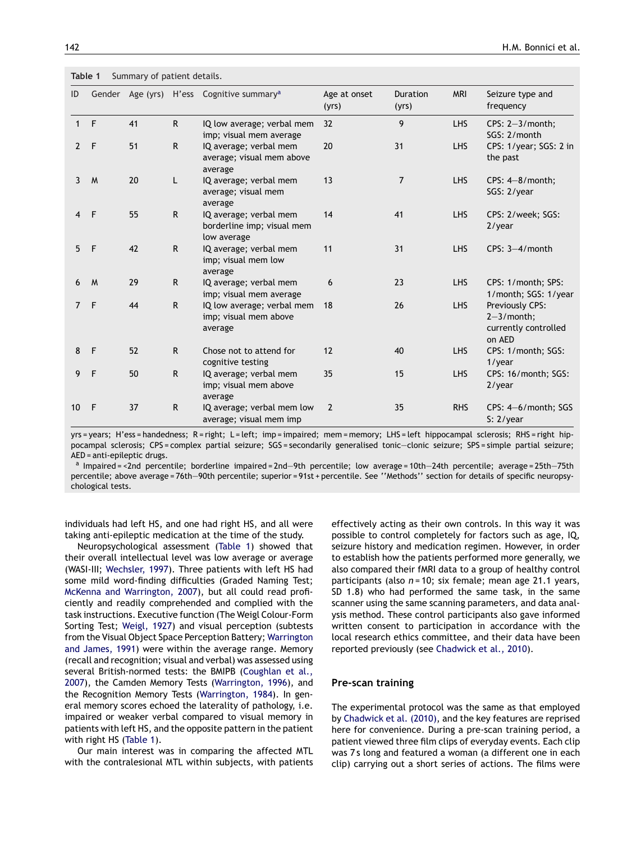| ID             |   |    |              | Gender Age (yrs) H'ess Cognitive summary <sup>a</sup>               | Age at onset<br>(yrs) | Duration<br>(yrs) | <b>MRI</b> | Seizure type and<br>frequency                                        |
|----------------|---|----|--------------|---------------------------------------------------------------------|-----------------------|-------------------|------------|----------------------------------------------------------------------|
| 1              | F | 41 | $\mathsf{R}$ | IQ low average; verbal mem<br>imp; visual mem average               | 32                    | 9                 | <b>LHS</b> | CPS: $2-3/month;$<br>SGS: 2/month                                    |
| $\overline{2}$ | F | 51 | $\mathsf{R}$ | IQ average; verbal mem<br>average; visual mem above<br>average      | 20                    | 31                | <b>LHS</b> | CPS: 1/year; SGS: 2 in<br>the past                                   |
| 3              | M | 20 | L            | IQ average; verbal mem<br>average; visual mem<br>average            | 13                    | $\overline{7}$    | <b>LHS</b> | CPS: $4-8/month$ ;<br>SGS: 2/year                                    |
| $\overline{4}$ | F | 55 | $\mathsf{R}$ | IQ average; verbal mem<br>borderline imp; visual mem<br>low average | 14                    | 41                | <b>LHS</b> | CPS: 2/week; SGS:<br>$2$ /year                                       |
| 5              | F | 42 | $\mathsf{R}$ | IQ average; verbal mem<br>imp; visual mem low<br>average            | 11                    | 31                | <b>LHS</b> | $CPS: 3-4/month$                                                     |
| 6              | M | 29 | R            | IQ average; verbal mem<br>imp; visual mem average                   | 6                     | 23                | <b>LHS</b> | CPS: 1/month; SPS:<br>1/month; SGS: 1/year                           |
| $\overline{7}$ | F | 44 | $\mathsf{R}$ | IQ low average; verbal mem<br>imp; visual mem above<br>average      | 18                    | 26                | <b>LHS</b> | Previously CPS:<br>$2 - 3$ /month;<br>currently controlled<br>on AED |
| 8              | F | 52 | $\mathsf{R}$ | Chose not to attend for<br>cognitive testing                        | 12                    | 40                | <b>LHS</b> | CPS: 1/month; SGS:<br>$1/\text{year}$                                |
| 9              | F | 50 | $\mathsf{R}$ | IQ average; verbal mem<br>imp; visual mem above<br>average          | 35                    | 15                | <b>LHS</b> | CPS: 16/month; SGS:<br>$2$ /year                                     |
| 10             | F | 37 | $\mathsf{R}$ | IQ average; verbal mem low<br>average; visual mem imp               | $\overline{2}$        | 35                | <b>RHS</b> | CPS: 4-6/month; SGS<br>$S: 2/\gamma$ ear                             |

<span id="page-2-0"></span>**Table 1** Summary of patient details.

yrs = years; H'ess = handedness; R = right; L = left; imp = impaired; mem = memory; LHS = left hippocampal sclerosis; RHS = right hippocampal sclerosis; CPS = complex partial seizure; SGS = secondarily generalised tonic—clonic seizure; SPS = simple partial seizure; AED = anti-epileptic drugs.

 $a$  Impaired = <2nd percentile; borderline impaired = 2nd-9th percentile; low average = 10th-24th percentile; average = 25th-75th percentile; above average = 76th—90th percentile; superior = 91st + percentile. See ''Methods'' section for details of specific neuropsychological tests.

individuals had left HS, and one had right HS, and all were taking anti-epileptic medication at the time of the study.

Neuropsychological assessment (Table 1) showed that their overall intellectual level was low average or average (WASI-III; [Wechsler,](#page-9-0) [1997\).](#page-9-0) Three patients with left HS had some mild word-finding difficulties (Graded Naming Test; [McKenna](#page-9-0) [and](#page-9-0) [Warrington,](#page-9-0) [2007\),](#page-9-0) but all could read proficiently and readily comprehended and complied with the task instructions. Executive function (The Weigl Colour-Form Sorting Test; [Weigl,](#page-9-0) [1927\)](#page-9-0) and visual perception (subtests from the Visual Object Space Perception Battery; [Warrington](#page-9-0) [and](#page-9-0) [James,](#page-9-0) [1991\)](#page-9-0) were within the average range. Memory (recall and recognition; visual and verbal) was assessed using several British-normed tests: the BMIPB ([Coughlan](#page-8-0) et [al.,](#page-8-0) [2007\),](#page-8-0) the Camden Memory Tests [\(Warrington,](#page-9-0) [1996\),](#page-9-0) and the Recognition Memory Tests ([Warrington,](#page-9-0) [1984\).](#page-9-0) In general memory scores echoed the laterality of pathology, i.e. impaired or weaker verbal compared to visual memory in patients with left HS, and the opposite pattern in the patient with right HS (Table 1).

Our main interest was in comparing the affected MTL with the contralesional MTL within subjects, with patients

effectively acting as their own controls. In this way it was possible to control completely for factors such as age, IQ, seizure history and medication regimen. However, in order to establish how the patients performed more generally, we also compared their fMRI data to a group of healthy control participants (also *n* = 10; six female; mean age 21.1 years, SD 1.8) who had performed the same task, in the same scanner using the same scanning parameters, and data analysis method. These control participants also gave informed written consent to participation in accordance with the local research ethics committee, and their data have been reported previously (see [Chadwick](#page-8-0) et [al.,](#page-8-0) [2010\).](#page-8-0)

#### **Pre-scan training**

The experimental protocol was the same as that employed by [Chadwick](#page-8-0) et [al.](#page-8-0) [\(2010\),](#page-8-0) and the key features are reprised here for convenience. During a pre-scan training period, a patient viewed three film clips of everyday events. Each clip was 7 s long and featured a woman (a different one in each clip) carrying out a short series of actions. The films were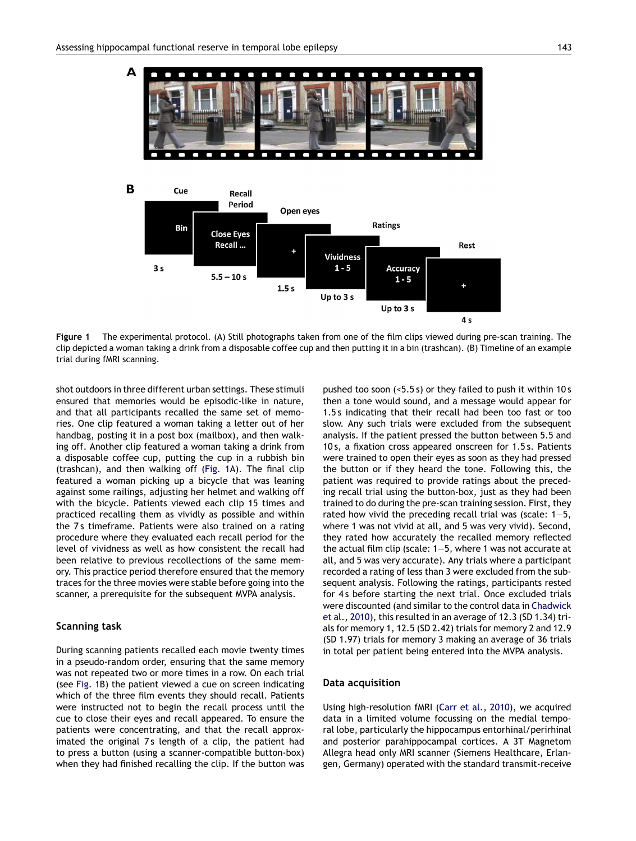



**Figure 1** The experimental protocol. (A) Still photographs taken from one of the film clips viewed during pre-scan training. The clip depicted a woman taking a drink from a disposable coffee cup and then putting it in a bin (trashcan). (B) Timeline of an example trial during fMRI scanning.

shot outdoors in three different urban settings. These stimuli ensured that memories would be episodic-like in nature, and that all participants recalled the same set of memories. One clip featured a woman taking a letter out of her handbag, posting it in a post box (mailbox), and then walking off. Another clip featured a woman taking a drink from a disposable coffee cup, putting the cup in a rubbish bin (trashcan), and then walking off (Fig. 1A). The final clip featured a woman picking up a bicycle that was leaning against some railings, adjusting her helmet and walking off with the bicycle. Patients viewed each clip 15 times and practiced recalling them as vividly as possible and within the 7 s timeframe. Patients were also trained on a rating procedure where they evaluated each recall period for the level of vividness as well as how consistent the recall had been relative to previous recollections of the same memory. This practice period therefore ensured that the memory traces for the three movies were stable before going into the scanner, a prerequisite for the subsequent MVPA analysis.

# **Scanning task**

During scanning patients recalled each movie twenty times in a pseudo-random order, ensuring that the same memory was not repeated two or more times in a row. On each trial (see Fig. 1B) the patient viewed a cue on screen indicating which of the three film events they should recall. Patients were instructed not to begin the recall process until the cue to close their eyes and recall appeared. To ensure the patients were concentrating, and that the recall approximated the original 7s length of a clip, the patient had to press a button (using a scanner-compatible button-box) when they had finished recalling the clip. If the button was pushed too soon (<5.5 s) or they failed to push it within 10 s then a tone would sound, and a message would appear for 1.5 s indicating that their recall had been too fast or too slow. Any such trials were excluded from the subsequent analysis. If the patient pressed the button between 5.5 and 10s, a fixation cross appeared onscreen for 1.5s. Patients were trained to open their eyes as soon as they had pressed the button or if they heard the tone. Following this, the patient was required to provide ratings about the preceding recall trial using the button-box, just as they had been trained to do during the pre-scan training session. First, they rated how vivid the preceding recall trial was (scale: 1—5, where 1 was not vivid at all, and 5 was very vivid). Second, they rated how accurately the recalled memory reflected the actual film clip (scale: 1—5, where 1 was not accurate at all, and 5 was very accurate). Any trials where a participant recorded a rating of less than 3 were excluded from the subsequent analysis. Following the ratings, participants rested for 4s before starting the next trial. Once excluded trials were discounted (and similar to the control data in [Chadwick](#page-8-0) et [al.,](#page-8-0) [2010\),](#page-8-0) this resulted in an average of 12.3 (SD 1.34) trials for memory 1, 12.5 (SD 2.42) trials for memory 2 and 12.9 (SD 1.97) trials for memory 3 making an average of 36 trials in total per patient being entered into the MVPA analysis.

#### **Data acquisition**

Using high-resolution fMRI [\(Carr](#page-8-0) et [al.,](#page-8-0) [2010\),](#page-8-0) we acquired data in a limited volume focussing on the medial temporal lobe, particularly the hippocampus entorhinal/perirhinal and posterior parahippocampal cortices. A 3T Magnetom Allegra head only MRI scanner (Siemens Healthcare, Erlangen, Germany) operated with the standard transmit-receive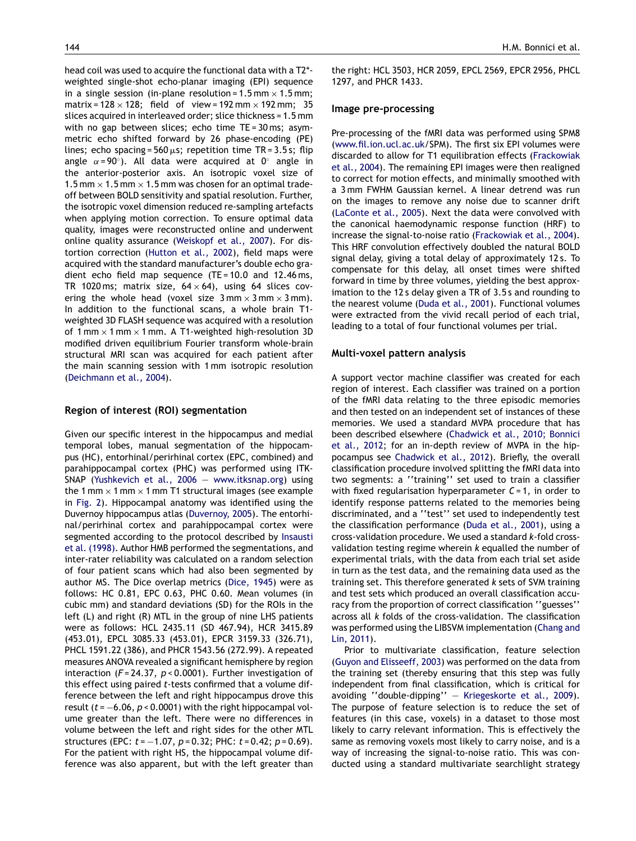head coil was used to acquire the functional data with a T2\* weighted single-shot echo-planar imaging (EPI) sequence in a single session (in-plane resolution =  $1.5$  mm  $\times$   $1.5$  mm; matrix =  $128 \times 128$ ; field of view = 192 mm  $\times$  192 mm; 35 slices acquired in interleaved order; slice thickness = 1.5 mm with no gap between slices; echo time TE = 30 ms; asymmetric echo shifted forward by 26 phase-encoding (PE) lines; echo spacing = 560  $\mu$ s; repetition time TR = 3.5 s; flip angle  $\alpha$  = 90°). All data were acquired at 0° angle in the anterior-posterior axis. An isotropic voxel size of 1.5 mm  $\times$  1.5 mm  $\times$  1.5 mm was chosen for an optimal tradeoff between BOLD sensitivity and spatial resolution. Further, the isotropic voxel dimension reduced re-sampling artefacts when applying motion correction. To ensure optimal data quality, images were reconstructed online and underwent online quality assurance [\(Weiskopf](#page-9-0) et [al.,](#page-9-0) [2007\).](#page-9-0) For distortion correction [\(Hutton](#page-9-0) et [al.,](#page-9-0) [2002\),](#page-9-0) field maps were acquired with the standard manufacturer's double echo gradient echo field map sequence (TE = 10.0 and 12.46 ms, TR 1020 ms; matrix size,  $64 \times 64$ ), using 64 slices covering the whole head (voxel size  $3 \text{ mm} \times 3 \text{ mm} \times 3 \text{ mm}$ ). In addition to the functional scans, a whole brain T1 weighted 3D FLASH sequence was acquired with a resolution of 1 mm  $\times$  1 mm  $\times$  1 mm. A T1-weighted high-resolution 3D modified driven equilibrium Fourier transform whole-brain structural MRI scan was acquired for each patient after the main scanning session with 1 mm isotropic resolution [\(Deichmann](#page-8-0) et [al.,](#page-8-0) [2004\).](#page-8-0)

### **Region of interest (ROI) segmentation**

Given our specific interest in the hippocampus and medial temporal lobes, manual segmentation of the hippocampus (HC), entorhinal/perirhinal cortex (EPC, combined) and parahippocampal cortex (PHC) was performed using ITK-SNAP [\(Yushkevich](#page-9-0) et [al.,](#page-9-0) [2006](#page-9-0) — [www.itksnap.org\)](http://www.itksnap.org/) using the 1 mm  $\times$  1 mm  $\times$  1 mm T1 structural images (see example in [Fig.](#page-5-0) 2). Hippocampal anatomy was identified using the Duvernoy hippocampus atlas [\(Duvernoy,](#page-9-0) [2005\).](#page-9-0) The entorhinal/perirhinal cortex and parahippocampal cortex were segmented according to the protocol described by [Insausti](#page-9-0) et [al.](#page-9-0) [\(1998\).](#page-9-0) Author HMB performed the segmentations, and inter-rater reliability was calculated on a random selection of four patient scans which had also been segmented by author MS. The Dice overlap metrics [\(Dice,](#page-8-0) [1945\)](#page-8-0) were as follows: HC 0.81, EPC 0.63, PHC 0.60. Mean volumes (in cubic mm) and standard deviations (SD) for the ROIs in the left (L) and right (R) MTL in the group of nine LHS patients were as follows: HCL 2435.11 (SD 467.94), HCR 3415.89 (453.01), EPCL 3085.33 (453.01), EPCR 3159.33 (326.71), PHCL 1591.22 (386), and PHCR 1543.56 (272.99). A repeated measures ANOVA revealed a significant hemisphere by region interaction (*F* = 24.37, *p* < 0.0001). Further investigation of this effect using paired *t*-tests confirmed that a volume difference between the left and right hippocampus drove this result  $(t = -6.06, p < 0.0001)$  with the right hippocampal volume greater than the left. There were no differences in volume between the left and right sides for the other MTL structures (EPC: *t* = −1.07, *p* = 0.32; PHC: *t* = 0.42; *p* = 0.69). For the patient with right HS, the hippocampal volume difference was also apparent, but with the left greater than the right: HCL 3503, HCR 2059, EPCL 2569, EPCR 2956, PHCL 1297, and PHCR 1433.

#### **Image pre-processing**

Pre-processing of the fMRI data was performed using SPM8 [\(www.fil.ion.ucl.ac.uk](http://www.fil.ion.ucl.ac.uk/)/SPM). The first six EPI volumes were discarded to allow for T1 equilibration effects ([Frackowiak](#page-9-0) et [al.,](#page-9-0) [2004\).](#page-9-0) The remaining EPI images were then realigned to correct for motion effects, and minimally smoothed with a 3 mm FWHM Gaussian kernel. A linear detrend was run on the images to remove any noise due to scanner drift [\(LaConte](#page-9-0) et [al.,](#page-9-0) [2005\).](#page-9-0) Next the data were convolved with the canonical haemodynamic response function (HRF) to increase the signal-to-noise ratio [\(Frackowiak](#page-9-0) et [al.,](#page-9-0) [2004\).](#page-9-0) This HRF convolution effectively doubled the natural BOLD signal delay, giving a total delay of approximately 12 s. To compensate for this delay, all onset times were shifted forward in time by three volumes, yielding the best approximation to the 12 s delay given a TR of 3.5 s and rounding to the nearest volume [\(Duda](#page-9-0) et [al.,](#page-9-0) [2001\).](#page-9-0) Functional volumes were extracted from the vivid recall period of each trial, leading to a total of four functional volumes per trial.

#### **Multi-voxel pattern analysis**

A support vector machine classifier was created for each region of interest. Each classifier was trained on a portion of the fMRI data relating to the three episodic memories and then tested on an independent set of instances of these memories. We used a standard MVPA procedure that has been described elsewhere [\(Chadwick](#page-8-0) et [al.,](#page-8-0) [2010;](#page-8-0) [Bonnici](#page-8-0) et [al.,](#page-8-0) [2012;](#page-8-0) for an in-depth review of MVPA in the hippocampus see [Chadwick](#page-8-0) et [al.,](#page-8-0) [2012\).](#page-8-0) Briefly, the overall classification procedure involved splitting the fMRI data into two segments: a ''training'' set used to train a classifier with fixed regularisation hyperparameter *C* = 1, in order to identify response patterns related to the memories being discriminated, and a ''test'' set used to independently test the classification performance ([Duda](#page-9-0) et [al.,](#page-9-0) [2001\),](#page-9-0) using a cross-validation procedure. We used a standard *k*-fold crossvalidation testing regime wherein *k* equalled the number of experimental trials, with the data from each trial set aside in turn as the test data, and the remaining data used as the training set. This therefore generated *k* sets of SVM training and test sets which produced an overall classification accuracy from the proportion of correct classification ''guesses'' across all *k* folds of the cross-validation. The classification was performed using the LIBSVM implementation [\(Chang](#page-8-0) [and](#page-8-0) [Lin,](#page-8-0) [2011\).](#page-8-0)

Prior to multivariate classification, feature selection [\(Guyon](#page-9-0) [and](#page-9-0) [Elisseeff,](#page-9-0) [2003\)](#page-9-0) was performed on the data from the training set (thereby ensuring that this step was fully independent from final classification, which is critical for avoiding ''double-dipping'' — [Kriegeskorte](#page-9-0) et [al.,](#page-9-0) [2009\).](#page-9-0) The purpose of feature selection is to reduce the set of features (in this case, voxels) in a dataset to those most likely to carry relevant information. This is effectively the same as removing voxels most likely to carry noise, and is a way of increasing the signal-to-noise ratio. This was conducted using a standard multivariate searchlight strategy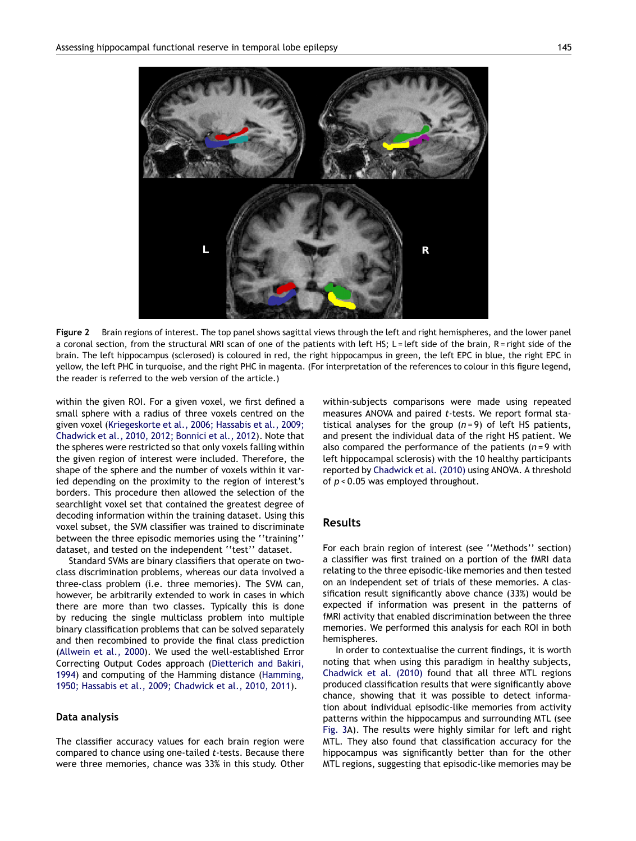<span id="page-5-0"></span>

**Figure 2** Brain regions of interest. The top panel shows sagittal views through the left and right hemispheres, and the lower panel a coronal section, from the structural MRI scan of one of the patients with left HS; L=left side of the brain, R=right side of the brain. The left hippocampus (sclerosed) is coloured in red, the right hippocampus in green, the left EPC in blue, the right EPC in yellow, the left PHC in turquoise, and the right PHC in magenta. (For interpretation of the references to colour in this figure legend, the reader is referred to the web version of the article.)

within the given ROI. For a given voxel, we first defined a small sphere with a radius of three voxels centred on the given voxel ([Kriegeskorte](#page-9-0) et [al.,](#page-9-0) [2006;](#page-9-0) [Hassabis](#page-9-0) et [al.,](#page-9-0) [2009;](#page-9-0) [Chadwick](#page-9-0) et [al.,](#page-9-0) [2010,](#page-9-0) [2012;](#page-9-0) [Bonnici](#page-9-0) et [al.,](#page-9-0) [2012\).](#page-9-0) Note that the spheres were restricted so that only voxels falling within the given region of interest were included. Therefore, the shape of the sphere and the number of voxels within it varied depending on the proximity to the region of interest's borders. This procedure then allowed the selection of the searchlight voxel set that contained the greatest degree of decoding information within the training dataset. Using this voxel subset, the SVM classifier was trained to discriminate between the three episodic memories using the ''training'' dataset, and tested on the independent ''test'' dataset.

Standard SVMs are binary classifiers that operate on twoclass discrimination problems, whereas our data involved a three-class problem (i.e. three memories). The SVM can, however, be arbitrarily extended to work in cases in which there are more than two classes. Typically this is done by reducing the single multiclass problem into multiple binary classification problems that can be solved separately and then recombined to provide the final class prediction ([Allwein](#page-8-0) et [al.,](#page-8-0) [2000\).](#page-8-0) We used the well-established Error Correcting Output Codes approach [\(Dietterich](#page-8-0) [and](#page-8-0) [Bakiri,](#page-8-0) [1994\)](#page-8-0) and computing of the Hamming distance ([Hamming,](#page-9-0) [1950;](#page-9-0) [Hassabis](#page-9-0) et [al.,](#page-9-0) [2009;](#page-9-0) [Chadwick](#page-9-0) et [al.,](#page-9-0) [2010,](#page-9-0) [2011\).](#page-9-0)

## **Data analysis**

The classifier accuracy values for each brain region were compared to chance using one-tailed *t*-tests. Because there were three memories, chance was 33% in this study. Other within-subjects comparisons were made using repeated measures ANOVA and paired *t*-tests. We report formal statistical analyses for the group (*n* = 9) of left HS patients, and present the individual data of the right HS patient. We also compared the performance of the patients (*n* = 9 with left hippocampal sclerosis) with the 10 healthy participants reported by [Chadwick](#page-8-0) et [al.](#page-8-0) [\(2010\)](#page-8-0) using ANOVA. A threshold of *p* < 0.05 was employed throughout.

# **Results**

For each brain region of interest (see ''Methods'' section) a classifier was first trained on a portion of the fMRI data relating to the three episodic-like memories and then tested on an independent set of trials of these memories. A classification result significantly above chance (33%) would be expected if information was present in the patterns of fMRI activity that enabled discrimination between the three memories. We performed this analysis for each ROI in both hemispheres.

In order to contextualise the current findings, it is worth noting that when using this paradigm in healthy subjects, [Chadwick](#page-8-0) et [al.](#page-8-0) [\(2010\)](#page-8-0) found that all three MTL regions produced classification results that were significantly above chance, showing that it was possible to detect information about individual episodic-like memories from activity patterns within the hippocampus and surrounding MTL (see [Fig.](#page-6-0) 3A). The results were highly similar for left and right MTL. They also found that classification accuracy for the hippocampus was significantly better than for the other MTL regions, suggesting that episodic-like memories may be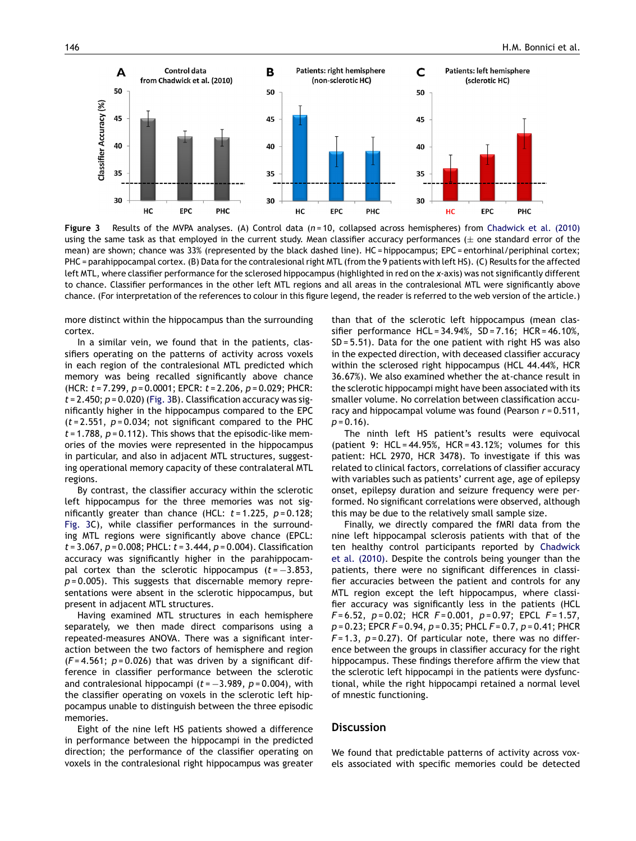<span id="page-6-0"></span>

**Figure 3** Results of the MVPA analyses. (A) Control data ( $n = 10$ , collapsed across hemispheres) from [Chadwick](#page-8-0) et [al.](#page-8-0) [\(2010\)](#page-8-0) using the same task as that employed in the current study. Mean classifier accuracy performances  $(\pm$  one standard error of the mean) are shown; chance was 33% (represented by the black dashed line). HC = hippocampus; EPC = entorhinal/periphinal cortex; PHC = parahippocampal cortex. (B) Data for the contralesional right MTL (from the 9 patients with left HS). (C) Results for the affected left MTL, where classifier performance for the sclerosed hippocampus (highlighted in red on the *x*-axis) was not significantly different to chance. Classifier performances in the other left MTL regions and all areas in the contralesional MTL were significantly above chance. (For interpretation of the references to colour in this figure legend, the reader is referred to the web version of the article.)

more distinct within the hippocampus than the surrounding cortex.

In a similar vein, we found that in the patients, classifiers operating on the patterns of activity across voxels in each region of the contralesional MTL predicted which memory was being recalled significantly above chance (HCR: *t* = 7.299, *p* = 0.0001; EPCR: *t* = 2.206, *p* = 0.029; PHCR: *t* = 2.450; *p* = 0.020) (Fig. 3B). Classification accuracy was significantly higher in the hippocampus compared to the EPC  $(t = 2.551, p = 0.034;$  not significant compared to the PHC  $t = 1.788$ ,  $p = 0.112$ ). This shows that the episodic-like memories of the movies were represented in the hippocampus in particular, and also in adjacent MTL structures, suggesting operational memory capacity of these contralateral MTL regions.

By contrast, the classifier accuracy within the sclerotic left hippocampus for the three memories was not significantly greater than chance (HCL: *t* = 1.225, *p* = 0.128; Fig. 3C), while classifier performances in the surrounding MTL regions were significantly above chance (EPCL: *t* = 3.067, *p* = 0.008; PHCL: *t* = 3.444, *p* = 0.004). Classification accuracy was significantly higher in the parahippocampal cortex than the sclerotic hippocampus (*t* = −3.853, *p* = 0.005). This suggests that discernable memory representations were absent in the sclerotic hippocampus, but present in adjacent MTL structures.

Having examined MTL structures in each hemisphere separately, we then made direct comparisons using a repeated-measures ANOVA. There was a significant interaction between the two factors of hemisphere and region  $(F = 4.561; p = 0.026)$  that was driven by a significant difference in classifier performance between the sclerotic and contralesional hippocampi (*t* = −3.989, *p* = 0.004), with the classifier operating on voxels in the sclerotic left hippocampus unable to distinguish between the three episodic memories.

Eight of the nine left HS patients showed a difference in performance between the hippocampi in the predicted direction; the performance of the classifier operating on voxels in the contralesional right hippocampus was greater

than that of the sclerotic left hippocampus (mean classifier performance HCL = 34.94%, SD = 7.16; HCR = 46.10%, SD = 5.51). Data for the one patient with right HS was also in the expected direction, with deceased classifier accuracy within the sclerosed right hippocampus (HCL 44.44%, HCR 36.67%). We also examined whether the at-chance result in the sclerotic hippocampi might have been associated with its smaller volume. No correlation between classification accuracy and hippocampal volume was found (Pearson *r* = 0.511,  $p = 0.16$ ).

The ninth left HS patient's results were equivocal (patient 9: HCL =  $44.95\%$ , HCR =  $43.12\%$ ; volumes for this patient: HCL 2970, HCR 3478). To investigate if this was related to clinical factors, correlations of classifier accuracy with variables such as patients' current age, age of epilepsy onset, epilepsy duration and seizure frequency were performed. No significant correlations were observed, although this may be due to the relatively small sample size.

Finally, we directly compared the fMRI data from the nine left hippocampal sclerosis patients with that of the ten healthy control participants reported by [Chadwick](#page-8-0) et [al.](#page-8-0) [\(2010\).](#page-8-0) Despite the controls being younger than the patients, there were no significant differences in classifier accuracies between the patient and controls for any MTL region except the left hippocampus, where classifier accuracy was significantly less in the patients (HCL *F* = 6.52, *p* = 0.02; HCR *F* = 0.001, *p* = 0.97; EPCL *F* = 1.57, *p* = 0.23; EPCR *F* = 0.94, *p* = 0.35; PHCL *F* = 0.7, *p* = 0.41; PHCR *F* = 1.3, *p* = 0.27). Of particular note, there was no difference between the groups in classifier accuracy for the right hippocampus. These findings therefore affirm the view that the sclerotic left hippocampi in the patients were dysfunctional, while the right hippocampi retained a normal level of mnestic functioning.

## **Discussion**

We found that predictable patterns of activity across voxels associated with specific memories could be detected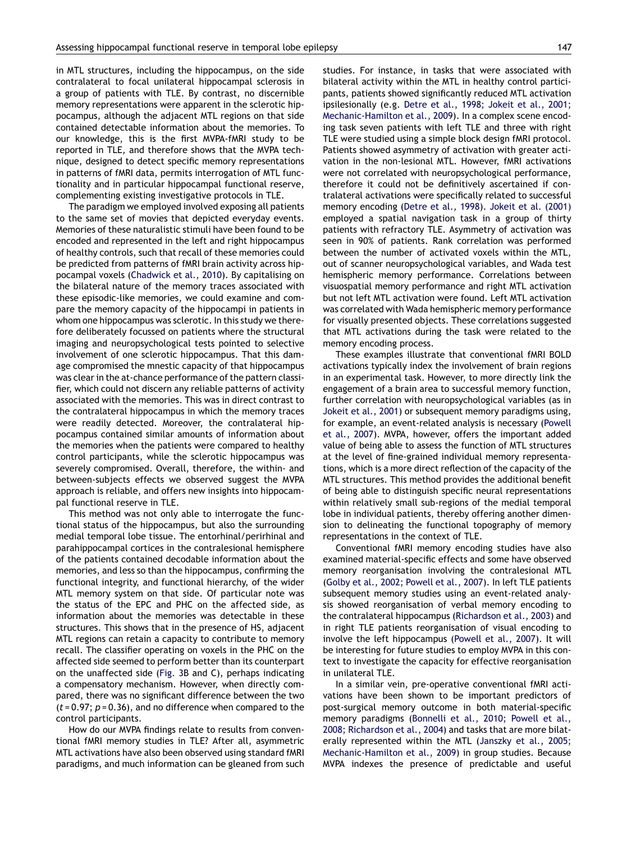in MTL structures, including the hippocampus, on the side contralateral to focal unilateral hippocampal sclerosis in a group of patients with TLE. By contrast, no discernible memory representations were apparent in the sclerotic hippocampus, although the adjacent MTL regions on that side contained detectable information about the memories. To our knowledge, this is the first MVPA-fMRI study to be reported in TLE, and therefore shows that the MVPA technique, designed to detect specific memory representations in patterns of fMRI data, permits interrogation of MTL functionality and in particular hippocampal functional reserve, complementing existing investigative protocols in TLE.

The paradigm we employed involved exposing all patients to the same set of movies that depicted everyday events. Memories of these naturalistic stimuli have been found to be encoded and represented in the left and right hippocampus of healthy controls, such that recall of these memories could be predicted from patterns of fMRI brain activity across hippocampal voxels ([Chadwick](#page-8-0) et [al.,](#page-8-0) [2010\).](#page-8-0) By capitalising on the bilateral nature of the memory traces associated with these episodic-like memories, we could examine and compare the memory capacity of the hippocampi in patients in whom one hippocampus was sclerotic. In this study we therefore deliberately focussed on patients where the structural imaging and neuropsychological tests pointed to selective involvement of one sclerotic hippocampus. That this damage compromised the mnestic capacity of that hippocampus was clear in the at-chance performance of the pattern classifier, which could not discern any reliable patterns of activity associated with the memories. This was in direct contrast to the contralateral hippocampus in which the memory traces were readily detected. Moreover, the contralateral hippocampus contained similar amounts of information about the memories when the patients were compared to healthy control participants, while the sclerotic hippocampus was severely compromised. Overall, therefore, the within- and between-subjects effects we observed suggest the MVPA approach is reliable, and offers new insights into hippocampal functional reserve in TLE.

This method was not only able to interrogate the functional status of the hippocampus, but also the surrounding medial temporal lobe tissue. The entorhinal/perirhinal and parahippocampal cortices in the contralesional hemisphere of the patients contained decodable information about the memories, and less so than the hippocampus, confirming the functional integrity, and functional hierarchy, of the wider MTL memory system on that side. Of particular note was the status of the EPC and PHC on the affected side, as information about the memories was detectable in these structures. This shows that in the presence of HS, adjacent MTL regions can retain a capacity to contribute to memory recall. The classifier operating on voxels in the PHC on the affected side seemed to perform better than its counterpart on the unaffected side [\(Fig.](#page-6-0) 3B and C), perhaps indicating a compensatory mechanism. However, when directly compared, there was no significant difference between the two (*t* = 0.97; *p* = 0.36), and no difference when compared to the control participants.

How do our MVPA findings relate to results from conventional fMRI memory studies in TLE? After all, asymmetric MTL activations have also been observed using standard fMRI paradigms, and much information can be gleaned from such studies. For instance, in tasks that were associated with bilateral activity within the MTL in healthy control participants, patients showed significantly reduced MTL activation ipsilesionally (e.g. [Detre](#page-8-0) et [al.,](#page-8-0) [1998;](#page-8-0) [Jokeit](#page-8-0) et [al.,](#page-8-0) [2001;](#page-8-0) [Mechanic-Hamilton](#page-8-0) et [al.,](#page-8-0) [2009\).](#page-8-0) In a complex scene encoding task seven patients with left TLE and three with right TLE were studied using a simple block design fMRI protocol. Patients showed asymmetry of activation with greater activation in the non-lesional MTL. However, fMRI activations were not correlated with neuropsychological performance, therefore it could not be definitively ascertained if contralateral activations were specifically related to successful memory encoding ([Detre](#page-8-0) et [al.,](#page-8-0) [1998\).](#page-8-0) [Jokeit](#page-9-0) et [al.](#page-9-0) [\(2001\)](#page-9-0) employed a spatial navigation task in a group of thirty patients with refractory TLE. Asymmetry of activation was seen in 90% of patients. Rank correlation was performed between the number of activated voxels within the MTL, out of scanner neuropsychological variables, and Wada test hemispheric memory performance. Correlations between visuospatial memory performance and right MTL activation but not left MTL activation were found. Left MTL activation was correlated with Wada hemispheric memory performance for visually presented objects. These correlations suggested that MTL activations during the task were related to the memory encoding process.

These examples illustrate that conventional fMRI BOLD activations typically index the involvement of brain regions in an experimental task. However, to more directly link the engagement of a brain area to successful memory function, further correlation with neuropsychological variables (as in [Jokeit](#page-9-0) et [al.,](#page-9-0) [2001\)](#page-9-0) or subsequent memory paradigms using, for example, an event-related analysis is necessary [\(Powell](#page-9-0) et [al.,](#page-9-0) [2007\).](#page-9-0) MVPA, however, offers the important added value of being able to assess the function of MTL structures at the level of fine-grained individual memory representations, which is a more direct reflection of the capacity of the MTL structures. This method provides the additional benefit of being able to distinguish specific neural representations within relatively small sub-regions of the medial temporal lobe in individual patients, thereby offering another dimension to delineating the functional topography of memory representations in the context of TLE.

Conventional fMRI memory encoding studies have also examined material-specific effects and some have observed memory reorganisation involving the contralesional MTL ([Golby](#page-9-0) et [al.,](#page-9-0) [2002;](#page-9-0) [Powell](#page-9-0) et [al.,](#page-9-0) [2007\).](#page-9-0) In left TLE patients subsequent memory studies using an event-related analysis showed reorganisation of verbal memory encoding to the contralateral hippocampus [\(Richardson](#page-9-0) et [al.,](#page-9-0) [2003\)](#page-9-0) and in right TLE patients reorganisation of visual encoding to involve the left hippocampus ([Powell](#page-9-0) et [al.,](#page-9-0) [2007\).](#page-9-0) It will be interesting for future studies to employ MVPA in this context to investigate the capacity for effective reorganisation in unilateral TLE.

In a similar vein, pre-operative conventional fMRI activations have been shown to be important predictors of post-surgical memory outcome in both material-specific memory paradigms ([Bonnelli](#page-8-0) et [al.,](#page-8-0) [2010;](#page-8-0) [Powell](#page-8-0) et [al.,](#page-8-0) [2008;](#page-8-0) [Richardson](#page-8-0) et [al.,](#page-8-0) [2004\)](#page-8-0) and tasks that are more bilaterally represented within the MTL [\(Janszky](#page-9-0) et [al.,](#page-9-0) [2005;](#page-9-0) [Mechanic-Hamilton](#page-9-0) et [al.,](#page-9-0) [2009\)](#page-9-0) in group studies. Because MVPA indexes the presence of predictable and useful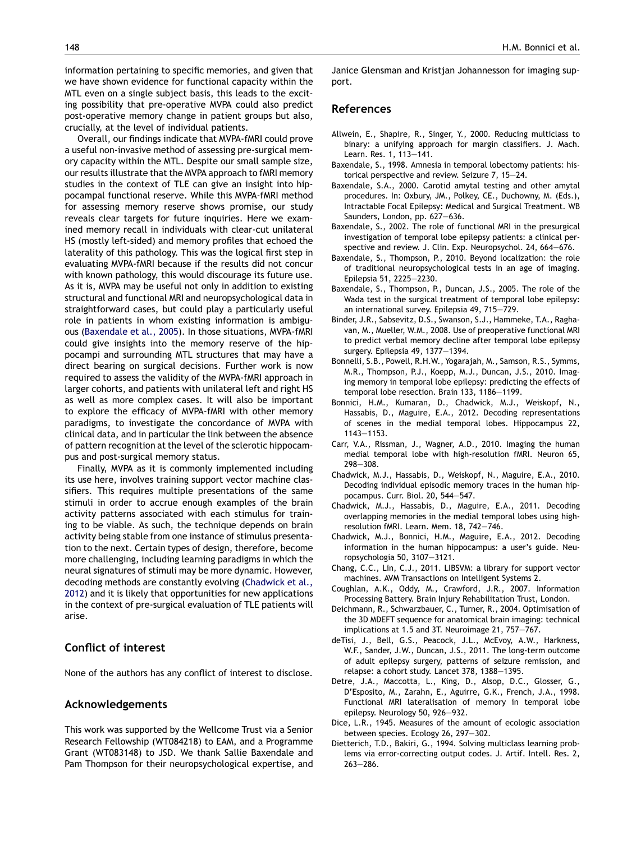<span id="page-8-0"></span>information pertaining to specific memories, and given that we have shown evidence for functional capacity within the MTL even on a single subject basis, this leads to the exciting possibility that pre-operative MVPA could also predict post-operative memory change in patient groups but also, crucially, at the level of individual patients.

Overall, our findings indicate that MVPA-fMRI could prove a useful non-invasive method of assessing pre-surgical memory capacity within the MTL. Despite our small sample size, our results illustrate that the MVPA approach to fMRI memory studies in the context of TLE can give an insight into hippocampal functional reserve. While this MVPA-fMRI method for assessing memory reserve shows promise, our study reveals clear targets for future inquiries. Here we examined memory recall in individuals with clear-cut unilateral HS (mostly left-sided) and memory profiles that echoed the laterality of this pathology. This was the logical first step in evaluating MVPA-fMRI because if the results did not concur with known pathology, this would discourage its future use. As it is, MVPA may be useful not only in addition to existing structural and functional MRI and neuropsychological data in straightforward cases, but could play a particularly useful role in patients in whom existing information is ambiguous (Baxendale et al., 2005). In those situations, MVPA-fMRI could give insights into the memory reserve of the hippocampi and surrounding MTL structures that may have a direct bearing on surgical decisions. Further work is now required to assess the validity of the MVPA-fMRI approach in larger cohorts, and patients with unilateral left and right HS as well as more complex cases. It will also be important to explore the efficacy of MVPA-fMRI with other memory paradigms, to investigate the concordance of MVPA with clinical data, and in particular the link between the absence of pattern recognition at the level of the sclerotic hippocampus and post-surgical memory status.

Finally, MVPA as it is commonly implemented including its use here, involves training support vector machine classifiers. This requires multiple presentations of the same stimuli in order to accrue enough examples of the brain activity patterns associated with each stimulus for training to be viable. As such, the technique depends on brain activity being stable from one instance of stimulus presentation to the next. Certain types of design, therefore, become more challenging, including learning paradigms in which the neural signatures of stimuli may be more dynamic. However, decoding methods are constantly evolving (Chadwick et al., 2012) and it is likely that opportunities for new applications in the context of pre-surgical evaluation of TLE patients will arise.

# **Conflict of interest**

None of the authors has any conflict of interest to disclose.

## **Acknowledgements**

This work was supported by the Wellcome Trust via a Senior Research Fellowship (WT084218) to EAM, and a Programme Grant (WT083148) to JSD. We thank Sallie Baxendale and Pam Thompson for their neuropsychological expertise, and

Janice Glensman and Kristjan Johannesson for imaging support.

# **References**

- Allwein, E., Shapire, R., Singer, Y., 2000. Reducing multiclass to binary: a unifying approach for margin classifiers. J. Mach. Learn. Res. 1, 113—141.
- Baxendale, S., 1998. Amnesia in temporal lobectomy patients: historical perspective and review. Seizure 7, 15—24.
- Baxendale, S.A., 2000. Carotid amytal testing and other amytal procedures. In: Oxbury, JM., Polkey, CE., Duchowny, M. (Eds.), Intractable Focal Epilepsy: Medical and Surgical Treatment. WB Saunders, London, pp. 627—636.
- Baxendale, S., 2002. The role of functional MRI in the presurgical investigation of temporal lobe epilepsy patients: a clinical perspective and review. J. Clin. Exp. Neuropsychol. 24, 664—676.
- Baxendale, S., Thompson, P., 2010. Beyond localization: the role of traditional neuropsychological tests in an age of imaging. Epilepsia 51, 2225—2230.
- Baxendale, S., Thompson, P., Duncan, J.S., 2005. The role of the Wada test in the surgical treatment of temporal lobe epilepsy: an international survey. Epilepsia 49, 715—729.
- Binder, J.R., Sabsevitz, D.S., Swanson, S.J., Hammeke, T.A., Raghavan, M., Mueller, W.M., 2008. Use of preoperative functional MRI to predict verbal memory decline after temporal lobe epilepsy surgery. Epilepsia 49, 1377—1394.
- Bonnelli, S.B., Powell, R.H.W., Yogarajah, M., Samson, R.S., Symms, M.R., Thompson, P.J., Koepp, M.J., Duncan, J.S., 2010. Imaging memory in temporal lobe epilepsy: predicting the effects of temporal lobe resection. Brain 133, 1186—1199.
- Bonnici, H.M., Kumaran, D., Chadwick, M.J., Weiskopf, N., Hassabis, D., Maguire, E.A., 2012. Decoding representations of scenes in the medial temporal lobes. Hippocampus 22, 1143—1153.
- Carr, V.A., Rissman, J., Wagner, A.D., 2010. Imaging the human medial temporal lobe with high-resolution fMRI. Neuron 65, 298—308.
- Chadwick, M.J., Hassabis, D., Weiskopf, N., Maguire, E.A., 2010. Decoding individual episodic memory traces in the human hippocampus. Curr. Biol. 20, 544—547.
- Chadwick, M.J., Hassabis, D., Maguire, E.A., 2011. Decoding overlapping memories in the medial temporal lobes using highresolution fMRI. Learn. Mem. 18, 742—746.
- Chadwick, M.J., Bonnici, H.M., Maguire, E.A., 2012. Decoding information in the human hippocampus: a user's guide. Neuropsychologia 50, 3107—3121.
- Chang, C.C., Lin, C.J., 2011. LIBSVM: a library for support vector machines. AVM Transactions on Intelligent Systems 2.
- Coughlan, A.K., Oddy, M., Crawford, J.R., 2007. Information Processing Battery. Brain Injury Rehabilitation Trust, London.
- Deichmann, R., Schwarzbauer, C., Turner, R., 2004. Optimisation of the 3D MDEFT sequence for anatomical brain imaging: technical implications at 1.5 and 3T. Neuroimage 21, 757—767.
- deTisi, J., Bell, G.S., Peacock, J.L., McEvoy, A.W., Harkness, W.F., Sander, J.W., Duncan, J.S., 2011. The long-term outcome of adult epilepsy surgery, patterns of seizure remission, and relapse: a cohort study. Lancet 378, 1388—1395.
- Detre, J.A., Maccotta, L., King, D., Alsop, D.C., Glosser, G., D'Esposito, M., Zarahn, E., Aguirre, G.K., French, J.A., 1998. Functional MRI lateralisation of memory in temporal lobe epilepsy. Neurology 50, 926—932.
- Dice, L.R., 1945. Measures of the amount of ecologic association between species. Ecology 26, 297—302.
- Dietterich, T.D., Bakiri, G., 1994. Solving multiclass learning problems via error-correcting output codes. J. Artif. Intell. Res. 2, 263—286.